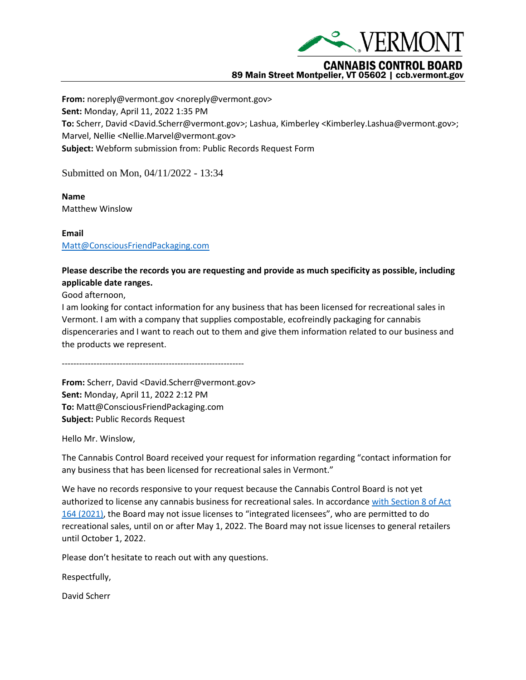

89 Main Street Montpelier, VT 05602 | ccb.vermont.gov

**From:** noreply@vermont.gov <noreply@vermont.gov> **Sent:** Monday, April 11, 2022 1:35 PM **To:** Scherr, David <David.Scherr@vermont.gov>; Lashua, Kimberley <Kimberley.Lashua@vermont.gov>; Marvel, Nellie <Nellie.Marvel@vermont.gov> **Subject:** Webform submission from: Public Records Request Form

Submitted on Mon, 04/11/2022 - 13:34

**Name** Matthew Winslow

**Email** [Matt@ConsciousFriendPackaging.com](mailto:Matt@ConsciousFriendPackaging.com)

## **Please describe the records you are requesting and provide as much specificity as possible, including applicable date ranges.**

Good afternoon,

I am looking for contact information for any business that has been licensed for recreational sales in Vermont. I am with a company that supplies compostable, ecofreindly packaging for cannabis dispenceraries and I want to reach out to them and give them information related to our business and the products we represent.

---------------------------------------------------------------

**From:** Scherr, David <David.Scherr@vermont.gov> **Sent:** Monday, April 11, 2022 2:12 PM **To:** Matt@ConsciousFriendPackaging.com **Subject:** Public Records Request

Hello Mr. Winslow,

The Cannabis Control Board received your request for information regarding "contact information for any business that has been licensed for recreational sales in Vermont."

We have no records responsive to your request because the Cannabis Control Board is not yet authorized to license any cannabis business for recreational sales. In accordance [with Section 8 of Act](https://ccb.vermont.gov/sites/ccb/files/documents/ACT164%20As%20Enacted_1.pdf)  [164 \(2021\)](https://ccb.vermont.gov/sites/ccb/files/documents/ACT164%20As%20Enacted_1.pdf), the Board may not issue licenses to "integrated licensees", who are permitted to do recreational sales, until on or after May 1, 2022. The Board may not issue licenses to general retailers until October 1, 2022.

Please don't hesitate to reach out with any questions.

Respectfully,

David Scherr